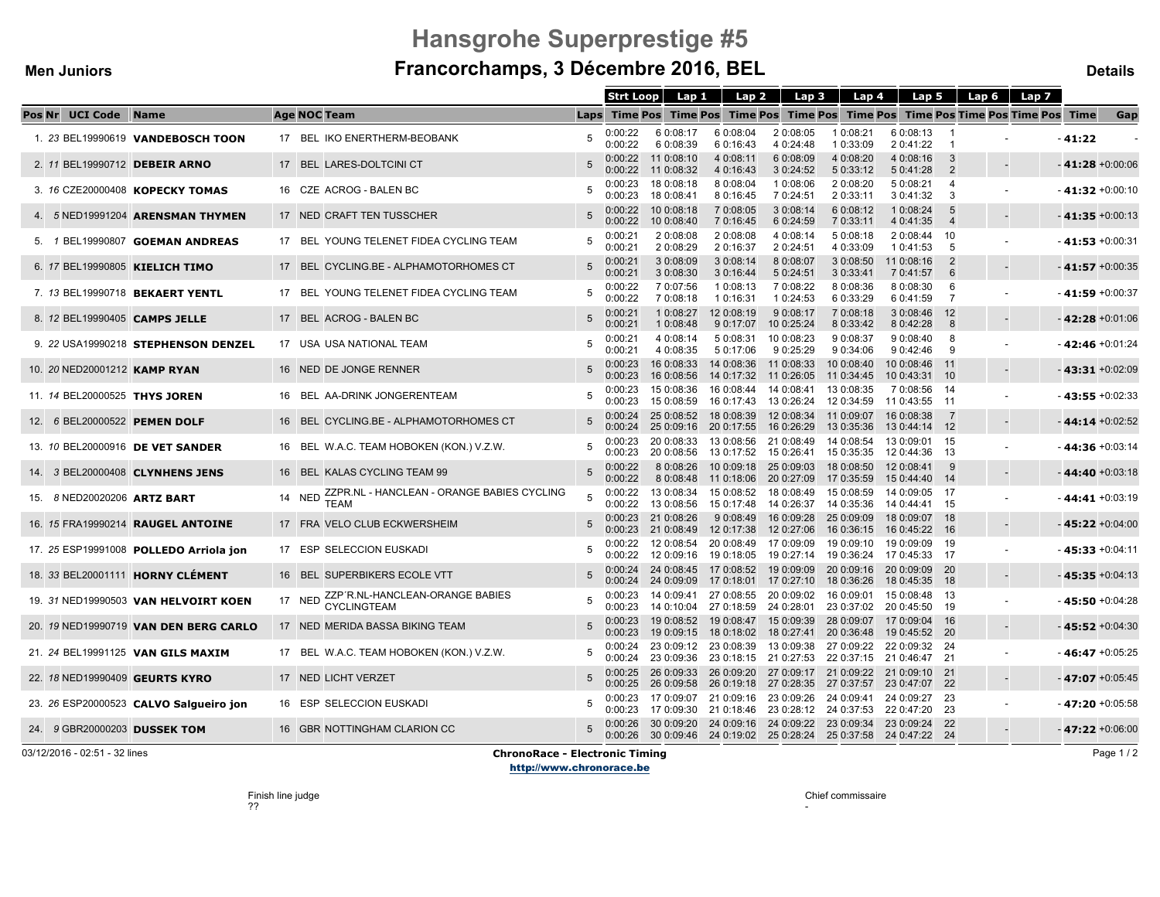#### **Men Juniors**

# **Hansgrohe Superprestige #5Francorchamps, 3 Décembre 2016, BEL**

**Details**

|                              |                                         |                                                                     | <b>Strt Loop</b>   | Lap 1                    | Lap 2                                                     | Lap 3                                                                                                                          | Lap 4                    | Lap 5                       |                       | Lap 6 $\parallel$<br>Lap 7                                                        |                    |     |
|------------------------------|-----------------------------------------|---------------------------------------------------------------------|--------------------|--------------------------|-----------------------------------------------------------|--------------------------------------------------------------------------------------------------------------------------------|--------------------------|-----------------------------|-----------------------|-----------------------------------------------------------------------------------|--------------------|-----|
| <b>Pos Nr UCI Code Name</b>  |                                         | <b>Age NOC Team</b>                                                 |                    |                          |                                                           |                                                                                                                                |                          |                             |                       | Laps Time Pos Time Pos Time Pos Time Pos Time Pos Time Pos Time Pos Time Pos Time |                    | Gap |
|                              | 1. 23 BEL19990619 VANDEBOSCH TOON       | 17 BEL IKO ENERTHERM-BEOBANK                                        | 0:00:22<br>0:00:22 | 6 0:08:17<br>6 0:08:39   | 6 0:08:04<br>6 0:16:43                                    | 2 0:08:05<br>4 0:24:48                                                                                                         | 1 0:08:21<br>1 0:33:09   | 6 0:08:13<br>2 0:41:22      |                       |                                                                                   | $-41:22$           |     |
|                              | 2. 11 BEL19990712 DEBEIR ARNO           | 17 BEL LARES-DOLTCINI CT                                            | 0:00:22<br>0:00:22 | 11 0:08:10<br>11 0:08:32 | 4 0:08:11<br>4 0:16:43                                    | 6 0:08:09<br>3 0:24:52                                                                                                         | 4 0:08:20<br>5 0:33:12   | 4 0:08:16<br>5 0:41:28      | -3<br>$\overline{2}$  |                                                                                   | $-41:28 + 0:00:06$ |     |
|                              | 3. 16 CZE20000408 KOPECKY TOMAS         | 16 CZE ACROG - BALEN BC                                             | 0:00:23<br>0:00:23 | 18 0:08:18<br>18 0:08:41 | 8 0:08:04<br>8 0:16:45                                    | 1 0:08:06<br>7 0:24:51                                                                                                         | 2 0:08:20<br>2 0:33:11   | 5 0:08:21<br>3 0:41:32      | 4<br>3                |                                                                                   | $-41:32 +0:00:10$  |     |
|                              | 4. 5 NED19991204 ARENSMAN THYMEN        | 17 NED CRAFT TEN TUSSCHER                                           | 0:00:22<br>0:00:22 | 10 0:08:18<br>10 0:08:40 | 7 0:08:05<br>7 0:16:45                                    | 3 0:08:14<br>6 0:24:59                                                                                                         | 6 0:08:12<br>7 0:33:11   | 1 0:08:24<br>4 0:41:35      | -5<br>$\overline{4}$  |                                                                                   | $-41:35 + 0:00:13$ |     |
|                              | 5. 1 BEL19990807 GOEMAN ANDREAS         | 17 BEL YOUNG TELENET FIDEA CYCLING TEAM                             | 0:00:21<br>0:00:21 | 2 0:08:08<br>2 0:08:29   | 2 0:08:08<br>2 0:16:37                                    | 4 0:08:14<br>2 0:24:51                                                                                                         | 5 0:08:18<br>4 0:33:09   | 2 0:08:44<br>1 0:41:53      | - 10<br>-5            |                                                                                   | $-41:53 + 0:00:31$ |     |
|                              | 6. 17 BEL19990805 KIELICH TIMO          | 17 BEL CYCLING.BE - ALPHAMOTORHOMES CT                              | 0:00:21<br>0:00:21 | 3 0:08:09<br>3 0:08:30   | 3 0:08:14<br>3 0:16:44                                    | 8 0:08:07<br>5 0:24:51                                                                                                         | 3 0:08:50<br>3 0:33:41   | 11 0:08:16<br>7 0:41:57     | $\overline{2}$<br>6   |                                                                                   | $-41:57 + 0:00:35$ |     |
|                              | 7. 13 BEL19990718 BEKAERT YENTL         | 17 BEL YOUNG TELENET FIDEA CYCLING TEAM                             | 0:00:22<br>0:00:22 | 7 0:07:56<br>7 0:08:18   | 1 0:08:13<br>1 0:16:31                                    | 7 0:08:22<br>1 0:24:53                                                                                                         | 8 0:08:36<br>6 0:33:29   | 8 0:08:30<br>6 0:41:59      | - 6<br>$\overline{7}$ |                                                                                   | $-41:59 + 0:00:37$ |     |
|                              | 8. 12 BEL19990405 CAMPS JELLE           | 17 BEL ACROG - BALEN BC                                             | 0:00:21<br>0:00:21 | 1 0:08:27<br>1 0:08:48   | 12 0:08:19                                                | 9 0:08:17<br>9 0:17:07 10 0:25:24                                                                                              | 7 0:08:18<br>8 0:33:42   | 3 0:08:46<br>8 0:42:28      | 12<br>-8              |                                                                                   | $-42:28 + 0:01:06$ |     |
|                              | 9. 22 USA19990218 STEPHENSON DENZEL     | 17 USA USA NATIONAL TEAM                                            | 0:00:21<br>0:00:21 | 4 0:08:14<br>4 0:08:35   | 5 0:08:31<br>5 0:17:06                                    | 10 0:08:23<br>9 0:25:29                                                                                                        | 9 0:08:37<br>9 0:34:06   | 9 0:08:40<br>9 0:42:46      | 8<br>9                |                                                                                   | $-$ 42:46 +0:01:24 |     |
| 10. 20 NED20001212 KAMP RYAN |                                         | 16 NED DE JONGE RENNER                                              | 0:00:23<br>0:00:23 | 16 0:08:33<br>16 0:08:56 | 14 0:08:36 11 0:08:33<br>14 0:17:32                       | 11 0:26:05                                                                                                                     | 10 0:08:40<br>11 0:34:45 | 10 0:08:46<br>10 0:43:31    | $-11$<br>- 10         |                                                                                   | $-43:31 + 0:02:09$ |     |
|                              | 11. 14 BEL20000525 THYS JOREN           | 16 BEL AA-DRINK JONGERENTEAM                                        | 0:00:23<br>0:00:23 | 15 0:08:36<br>15 0:08:59 |                                                           | 16 0:08:44  14 0:08:41  13 0:08:35<br>16 0:17:43  13 0:26:24                                                                   | 12 0:34:59               | 7 0:08:56<br>11 0:43:55     | - 14<br>$-11$         |                                                                                   | $-43:55 + 0:02:33$ |     |
|                              | 12. 6 BEL20000522 PEMEN DOLF            | 16 BEL CYCLING.BE - ALPHAMOTORHOMES CT                              | 0:00:24            | $0:00:24$ 25 $0:08:52$   | 18 0:08:39 12 0:08:34<br>25 0:09:16 20 0:17:55 16 0:26:29 |                                                                                                                                | 11 0:09:07<br>13 0:35:36 | 16 0:08:38<br>13 0:44:14 12 | -7                    |                                                                                   | $-44:14 + 0.02:52$ |     |
|                              | 13. 10 BEL20000916 DE VET SANDER        | 16 BEL W.A.C. TEAM HOBOKEN (KON.) V.Z.W.                            | 0:00:23<br>0:00:23 | 20 0:08:56               | 13 0:17:52                                                | 20 0:08:33  13  0:08:56  21  0:08:49  14  0:08:54<br>15 0:26:41                                                                | 15 0:35:35               | 13 0:09:01<br>12 0:44:36    | - 15<br>-13           |                                                                                   | $-44:36 + 0:03:14$ |     |
|                              | 14. 3 BEL20000408 CLYNHENS JENS         | 16 BEL KALAS CYCLING TEAM 99                                        | 0:00:22<br>0:00:22 | 8 0:08:26<br>8 0:08:48   | 10 0:09:18 25 0:09:03<br>11 0:18:06 20 0:27:09            |                                                                                                                                | 18 0:08:50<br>17 0:35:59 | 12 0:08:41<br>15 0:44:40    | -9<br>-14             |                                                                                   | $-44:40 + 0:03:18$ |     |
| 15. 8 NED20020206 ARTZ BART  |                                         | ZZPR.NL - HANCLEAN - ORANGE BABIES CYCLING<br>14 NED<br><b>TEAM</b> | 0:00:22<br>0:00:22 | 13 0:08:56               | 13 0:08:34  15 0:08:52  18 0:08:49                        | 15 0:17:48  14 0:26:37  14 0:35:36                                                                                             | 15 0:08:59               | 14 0:09:05<br>14 0:44:41    | - 17<br>- 15          |                                                                                   | $-44:41 + 0:03:19$ |     |
|                              | 16. 15 FRA19990214 RAUGEL ANTOINE       | 17 FRA VELO CLUB ECKWERSHEIM                                        | 0:00:23<br>0:00:23 | 21 0:08:26               | 21 0:08:49  12 0:17:38  12 0:27:06                        | 9 0:08:49 16 0:09:28                                                                                                           | 25 0:09:09<br>16 0:36:15 | 18 0:09:07 18<br>16 0:45:22 | - 16                  |                                                                                   | $-45:22+0:04:00$   |     |
|                              | 17. 25 ESP19991008 POLLEDO Arriola jon  | 17 ESP SELECCION EUSKADI                                            | 0:00:22<br>0:00:22 | 12 0:09:16               | 12 0:08:54 20 0:08:49 17 0:09:09                          | 19 0:18:05  19 0:27:14  19 0:36:24  17 0:45:33  17                                                                             | 19 0:09:10 19 0:09:09    |                             | -19                   |                                                                                   | $-45:33 + 0:04:11$ |     |
|                              | 18. 33 BEL20001111 <b>HORNY CLÉMENT</b> | 16 BEL SUPERBIKERS ECOLE VTT                                        | 0:00:24<br>0:00:24 | 24 0:08:45<br>24 0:09:09 | 17 0:08:52<br>17 0:18:01 17 0:27:10                       | 19 0:09:09                                                                                                                     | 20 0:09:16<br>18 0:36:26 | 20 0:09:09<br>18 0:45:35    | - 20<br>- 18          |                                                                                   | $-45:35 + 0:04:13$ |     |
|                              | 19. 31 NED19990503 VAN HELVOIRT KOEN    | 17 NED ZZP'R.NL-HANCLEAN-ORANGE BABIES                              | 0:00:23<br>0:00:23 |                          | 14 0:10:04 27 0:18:59 24 0:28:01                          | 14 0:09:41 27 0:08:55 20 0:09:02 16 0:09:01 15 0:08:48                                                                         | 23 0:37:02 20 0:45:50    |                             | - 13<br>- 19          |                                                                                   | $-45:50 + 0:04:28$ |     |
|                              | 20. 19 NED19990719 VAN DEN BERG CARLO   | 17 NED MERIDA BASSA BIKING TEAM                                     | 0:00:23<br>0:00:23 | 19 0:09:15               | 19 0:08:52  19 0:08:47  15 0:09:39                        | 18 0:18:02  18 0:27:41  20 0:36:48                                                                                             | 28 0:09:07               | 17 0:09:04<br>19 0:45:52 20 | - 16                  |                                                                                   | $-45:52 + 0:04:30$ |     |
|                              | 21. 24 BEL19991125 VAN GILS MAXIM       | 17 BEL W.A.C. TEAM HOBOKEN (KON.) V.Z.W.                            | 0:00:24<br>0:00:24 |                          |                                                           | 23 0:09:12 23 0:08:39 13 0:09:38 27 0:09:22 22 0:09:32<br>23 0:09:36 23 0:18:15 21 0:27:53 22 0:37:15 21 0:46:47 21            |                          |                             | -24                   |                                                                                   | $-46:47+0:05:25$   |     |
|                              | 22. 18 NED19990409 GEURTS KYRO          | 17 NED LICHT VERZET                                                 | 0:00:25<br>0:00:25 |                          |                                                           | 26 0:09:33 26 0:09:20 27 0:09:17 21 0:09:22 21 0:09:10<br>26 0:09:58 26 0:19:18 27 0:28:35 27 0:37:57 23 0:47:07 22            |                          |                             | 21                    |                                                                                   | $-47:07 + 0:05:45$ |     |
|                              | 23. 26 ESP20000523 CALVO Salgueiro jon  | 16 ESP SELECCION EUSKADI                                            | 0:00:23<br>0:00:23 |                          | 17 0:09:07 21 0:09:16 23 0:09:26                          | 17 0:09:30  21 0:18:46  23 0:28:12  24 0:37:53                                                                                 | 24 0:09:41               | 24 0:09:27<br>22 0:47:20    | -23<br>-23            |                                                                                   | $-47:20 + 0:05:58$ |     |
|                              | 24. 9 GBR20000203 DUSSEK TOM            | 16 GBR NOTTINGHAM CLARION CC                                        | 0:00:26            |                          |                                                           | 30 0:09:20 24 0:09:16 24 0:09:22 23 0:09:34 23 0:09:24 22<br>0:00:26 30 0:09:46 24 0:19:02 25 0:28:24 25 0:37:58 24 0:47:22 24 |                          |                             |                       |                                                                                   | $-47:22+0:06:00$   |     |

03/12/2016 - 02:51 - 32 lines

#### **ChronoRace - Electronic Timing**

Page 1 / 2

http://www.chronorace.be

Chief commissaire

-